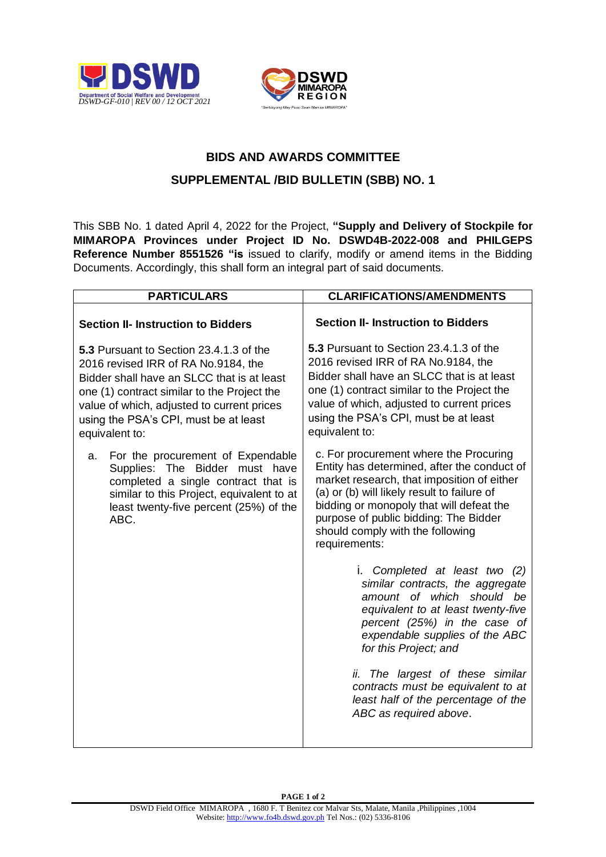



## **BIDS AND AWARDS COMMITTEE**

## **SUPPLEMENTAL /BID BULLETIN (SBB) NO. 1**

This SBB No. 1 dated April 4, 2022 for the Project, **"Supply and Delivery of Stockpile for MIMAROPA Provinces under Project ID No. DSWD4B-2022-008 and PHILGEPS Reference Number 8551526 "is** issued to clarify, modify or amend items in the Bidding Documents. Accordingly, this shall form an integral part of said documents.

| <b>PARTICULARS</b>                                                                                                                                                                                                                                                                   | <b>CLARIFICATIONS/AMENDMENTS</b>                                                                                                                                                                                                                                                                                             |
|--------------------------------------------------------------------------------------------------------------------------------------------------------------------------------------------------------------------------------------------------------------------------------------|------------------------------------------------------------------------------------------------------------------------------------------------------------------------------------------------------------------------------------------------------------------------------------------------------------------------------|
| <b>Section II- Instruction to Bidders</b>                                                                                                                                                                                                                                            | <b>Section II- Instruction to Bidders</b>                                                                                                                                                                                                                                                                                    |
| 5.3 Pursuant to Section 23.4.1.3 of the<br>2016 revised IRR of RA No.9184, the<br>Bidder shall have an SLCC that is at least<br>one (1) contract similar to the Project the<br>value of which, adjusted to current prices<br>using the PSA's CPI, must be at least<br>equivalent to: | 5.3 Pursuant to Section 23.4.1.3 of the<br>2016 revised IRR of RA No.9184, the<br>Bidder shall have an SLCC that is at least<br>one (1) contract similar to the Project the<br>value of which, adjusted to current prices<br>using the PSA's CPI, must be at least<br>equivalent to:                                         |
| For the procurement of Expendable<br>a.<br>Supplies: The Bidder must have<br>completed a single contract that is<br>similar to this Project, equivalent to at<br>least twenty-five percent (25%) of the<br>ABC.                                                                      | c. For procurement where the Procuring<br>Entity has determined, after the conduct of<br>market research, that imposition of either<br>(a) or (b) will likely result to failure of<br>bidding or monopoly that will defeat the<br>purpose of public bidding: The Bidder<br>should comply with the following<br>requirements: |
|                                                                                                                                                                                                                                                                                      | i. Completed at least two (2)<br>similar contracts, the aggregate<br>amount of which should be<br>equivalent to at least twenty-five<br>percent (25%) in the case of<br>expendable supplies of the ABC<br>for this Project; and                                                                                              |
|                                                                                                                                                                                                                                                                                      | ii. The largest of these similar<br>contracts must be equivalent to at<br>least half of the percentage of the<br>ABC as required above.                                                                                                                                                                                      |

**PAGE 1 of 2**